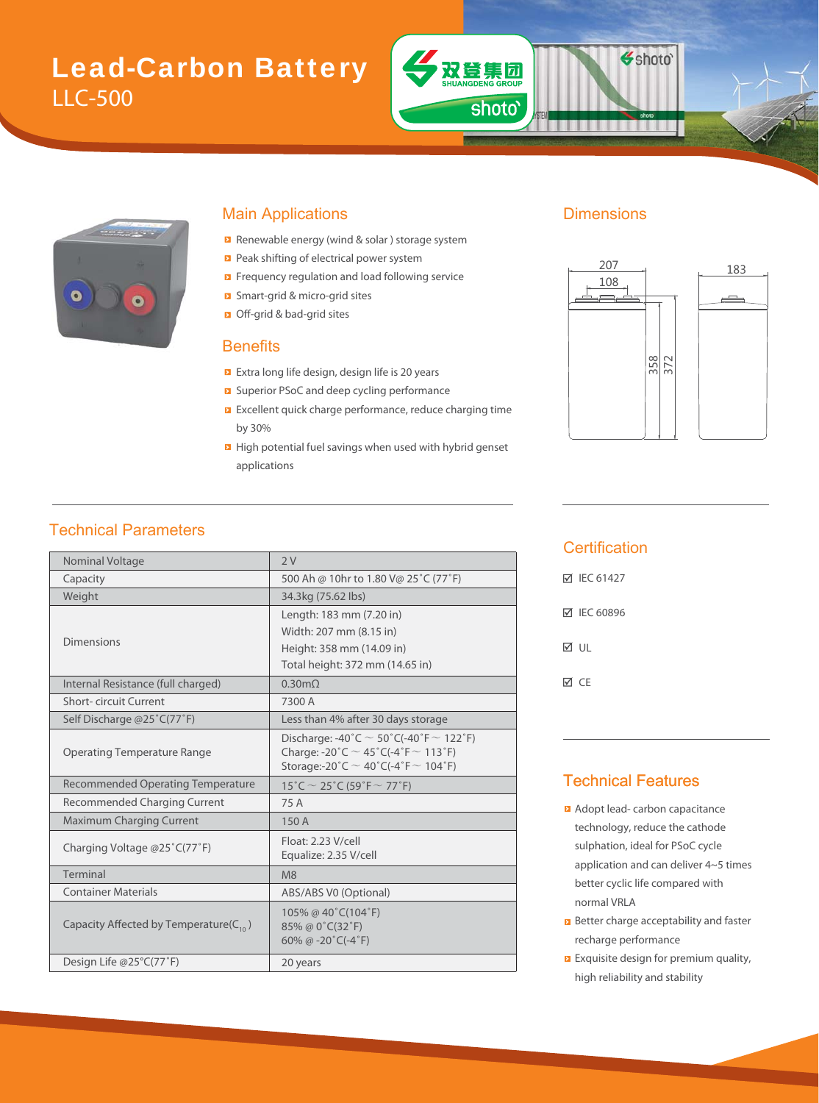# Lead-Carbon Battery LLC-500



#### Main Applications **Dimensions**

- Renewable energy (wind & solar) storage system
- Peak shifting of electrical power system
- Frequency regulation and load following service
- Smart-grid & micro-grid sites m
- Off-grid & bad-grid sites bad-

#### **Benefits**

- Extra long life design, design life is 20 years d
- Superior PSoC and deep cycling performance
- **EXCELLENT QUICK charge performance, reduce charging time** by 30%
- **High potential fuel savings when used with hybrid genset** applications

双登集团

shoto'

Shoto<sup>®</sup>



#### Technical Parameters

| Nominal Voltage                              | 2V                                                                                                                                               |  |  |  |
|----------------------------------------------|--------------------------------------------------------------------------------------------------------------------------------------------------|--|--|--|
| Capacity                                     | 500 Ah @ 10hr to 1.80 V@ 25°C (77°F)                                                                                                             |  |  |  |
| Weight                                       | 34.3kg (75.62 lbs)                                                                                                                               |  |  |  |
|                                              | Length: 183 mm (7.20 in)                                                                                                                         |  |  |  |
|                                              | Width: 207 mm (8.15 in)                                                                                                                          |  |  |  |
| <b>Dimensions</b>                            | Height: 358 mm (14.09 in)                                                                                                                        |  |  |  |
|                                              | Total height: 372 mm (14.65 in)                                                                                                                  |  |  |  |
| Internal Resistance (full charged)           | $0.30 \text{m}\Omega$                                                                                                                            |  |  |  |
| Short-circuit Current                        | 7300 A                                                                                                                                           |  |  |  |
| Self Discharge @25°C(77°F)                   | Less than 4% after 30 days storage                                                                                                               |  |  |  |
| <b>Operating Temperature Range</b>           | Discharge: -40°C $\sim$ 50°C(-40°F $\sim$ 122°F)<br>Charge: -20°C $\sim$ 45°C(-4°F $\sim$ 113°F)<br>Storage:-20°C $\sim$ 40°C(-4°F $\sim$ 104°F) |  |  |  |
| <b>Recommended Operating Temperature</b>     | 15°C $\sim$ 25°C (59°F $\sim$ 77°F)                                                                                                              |  |  |  |
| Recommended Charging Current                 | 75 A                                                                                                                                             |  |  |  |
| <b>Maximum Charging Current</b>              | 150 A                                                                                                                                            |  |  |  |
| Charging Voltage @25°C(77°F)                 | Float: 2.23 V/cell<br>Equalize: 2.35 V/cell                                                                                                      |  |  |  |
| Terminal                                     | M8                                                                                                                                               |  |  |  |
| <b>Container Materials</b>                   | ABS/ABS V0 (Optional)                                                                                                                            |  |  |  |
| Capacity Affected by Temperature( $C_{10}$ ) | 105% @ 40°C(104°F)<br>85% @ 0°C(32°F)<br>60% @ -20 $°C$ (-4 $°F$ )                                                                               |  |  |  |
| Design Life @25°C(77°F)                      | 20 years                                                                                                                                         |  |  |  |

#### **Certification**

| M IEC 61427 |
|-------------|
| ☑ IEC 60896 |
| M UL        |
| МcF         |

#### Technical Features

- **Adopt lead- carbon capacitance** technology, reduce the cathode sulphation, ideal for PSoC cycle application and can deliver 4~5 times better cyclic life compared with normal VRLA
- **B** Better charge acceptability and faster recharge performance
- **EXquisite design for premium quality,** high reliability and stability